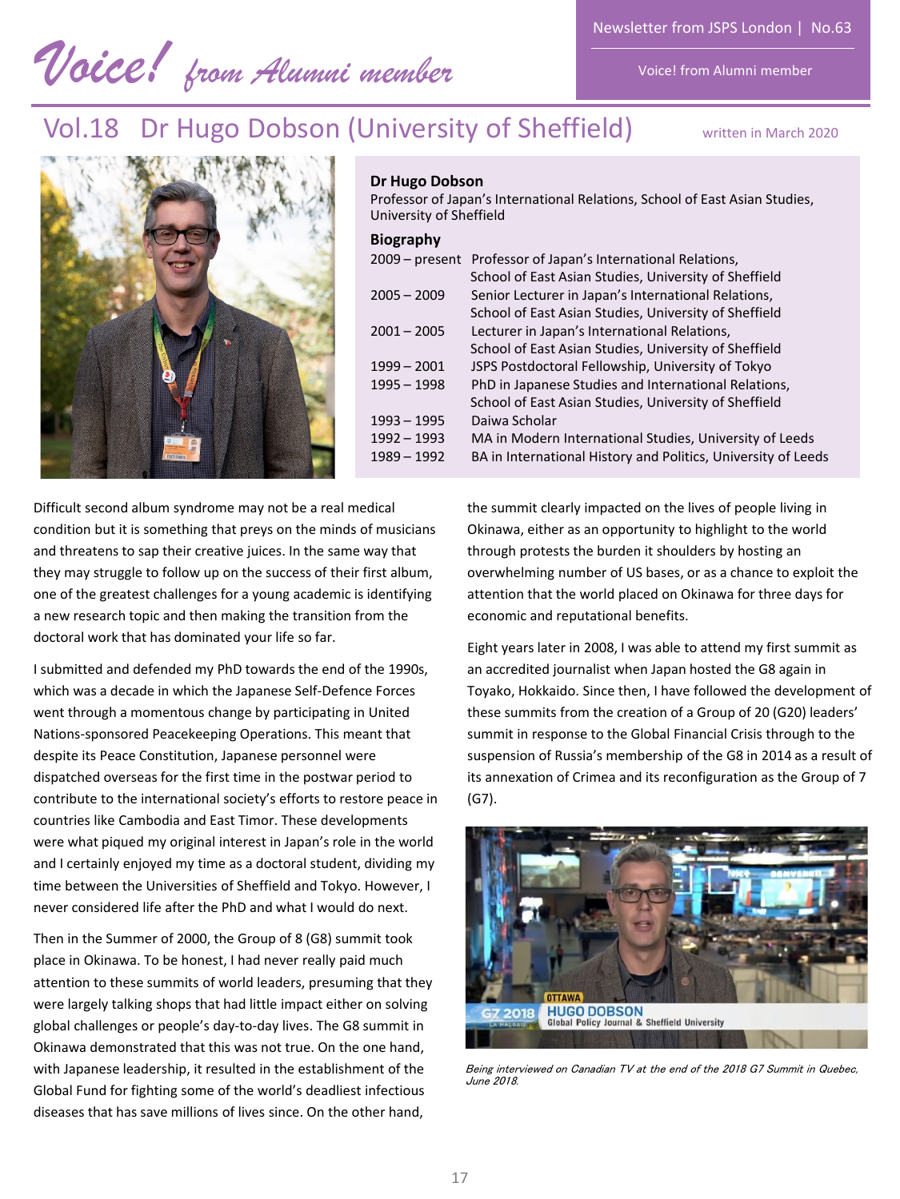*Voice! from Alumni member* 

Newsletter from JSPS London | No.63

Voice! from Alumni member

# Vol.18 Dr Hugo Dobson (University of Sheffield) written in March 2020



### **Dr Hugo Dobson**

Professor of Japan's International Relations, School of East Asian Studies, University of Sheffield

## **Biography**

| - - - - - - - -  |                                                               |
|------------------|---------------------------------------------------------------|
| $2009 - present$ | Professor of Japan's International Relations,                 |
|                  | School of East Asian Studies, University of Sheffield         |
| $2005 - 2009$    | Senior Lecturer in Japan's International Relations,           |
|                  | School of East Asian Studies, University of Sheffield         |
| $2001 - 2005$    | Lecturer in Japan's International Relations,                  |
|                  | School of East Asian Studies, University of Sheffield         |
| $1999 - 2001$    | JSPS Postdoctoral Fellowship, University of Tokyo             |
| $1995 - 1998$    | PhD in Japanese Studies and International Relations,          |
|                  | School of East Asian Studies, University of Sheffield         |
| $1993 - 1995$    | Daiwa Scholar                                                 |
| $1992 - 1993$    | MA in Modern International Studies, University of Leeds       |
| $1989 - 1992$    | BA in International History and Politics, University of Leeds |
|                  |                                                               |

Difficult second album syndrome may not be a real medical condition but it is something that preys on the minds of musicians and threatens to sap their creative juices. In the same way that they may struggle to follow up on the success of their first album, one of the greatest challenges for a young academic is identifying a new research topic and then making the transition from the doctoral work that has dominated your life so far.

I submitted and defended my PhD towards the end of the 1990s, which was a decade in which the Japanese Self-Defence Forces went through a momentous change by participating in United Nations-sponsored Peacekeeping Operations. This meant that despite its Peace Constitution, Japanese personnel were dispatched overseas for the first time in the postwar period to contribute to the international society's efforts to restore peace in countries like Cambodia and East Timor. These developments were what piqued my original interest in Japan's role in the world and I certainly enjoyed my time as a doctoral student, dividing my time between the Universities of Sheffield and Tokyo. However, I never considered life after the PhD and what I would do next.

Then in the Summer of 2000, the Group of 8 (G8) summit took place in Okinawa. To be honest, I had never really paid much attention to these summits of world leaders, presuming that they were largely talking shops that had little impact either on solving global challenges or people's day-to-day lives. The G8 summit in Okinawa demonstrated that this was not true. On the one hand, with Japanese leadership, it resulted in the establishment of the Global Fund for fighting some of the world's deadliest infectious diseases that has save millions of lives since. On the other hand,

the summit clearly impacted on the lives of people living in Okinawa, either as an opportunity to highlight to the world through protests the burden it shoulders by hosting an overwhelming number of US bases, or as a chance to exploit the attention that the world placed on Okinawa for three days for economic and reputational benefits.

Eight years later in 2008, I was able to attend my first summit as an accredited journalist when Japan hosted the G8 again in Toyako, Hokkaido. Since then, I have followed the development of these summits from the creation of a Group of 20 (G20) leaders' summit in response to the Global Financial Crisis through to the suspension of Russia's membership of the G8 in 2014 as a result of its annexation of Crimea and its reconfiguration as the Group of 7 (G7).



Being interviewed on Canadian TV at the end of the 2018 G7 Summit in Quebec, June 2018.